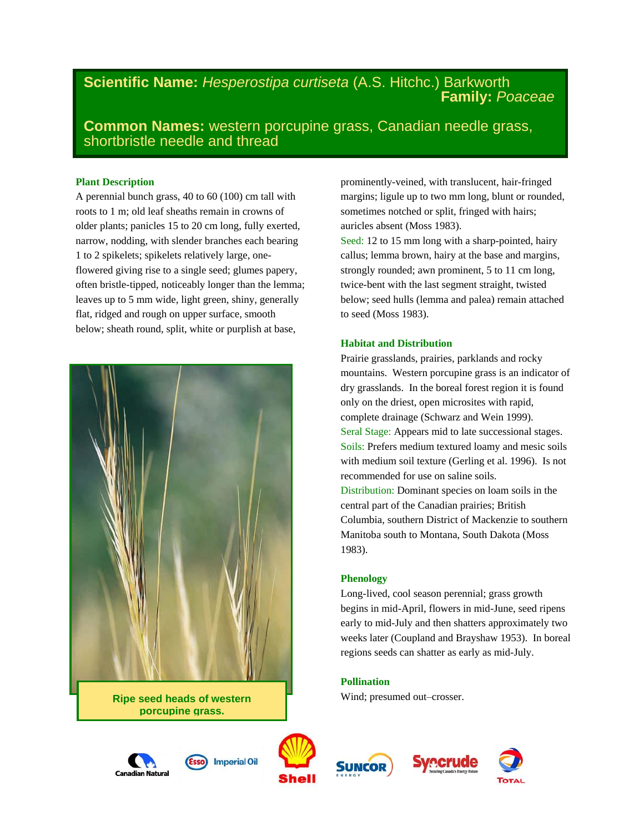# **Scientific Name:** *Hesperostipa curtiseta* (A.S. Hitchc.) Barkworth  **Family:** *Poaceae*

**Common Names:** western porcupine grass, Canadian needle grass, shortbristle needle and thread

# **Plant Description**

A perennial bunch grass, 40 to 60 (100) cm tall with roots to 1 m; old leaf sheaths remain in crowns of older plants; panicles 15 to 20 cm long, fully exerted, narrow, nodding, with slender branches each bearing 1 to 2 spikelets; spikelets relatively large, oneflowered giving rise to a single seed; glumes papery, often bristle-tipped, noticeably longer than the lemma; leaves up to 5 mm wide, light green, shiny, generally flat, ridged and rough on upper surface, smooth below; sheath round, split, white or purplish at base,



**Ripe seed heads of western porcupine grass.**

prominently-veined, with translucent, hair-fringed margins; ligule up to two mm long, blunt or rounded, sometimes notched or split, fringed with hairs; auricles absent (Moss 1983).

Seed: 12 to 15 mm long with a sharp-pointed, hairy callus; lemma brown, hairy at the base and margins, strongly rounded; awn prominent, 5 to 11 cm long, twice-bent with the last segment straight, twisted below; seed hulls (lemma and palea) remain attached to seed (Moss 1983).

# **Habitat and Distribution**

Prairie grasslands, prairies, parklands and rocky mountains. Western porcupine grass is an indicator of dry grasslands. In the boreal forest region it is found only on the driest, open microsites with rapid, complete drainage (Schwarz and Wein 1999). Seral Stage: Appears mid to late successional stages. Soils: Prefers medium textured loamy and mesic soils with medium soil texture (Gerling et al. 1996). Is not recommended for use on saline soils. Distribution: Dominant species on loam soils in the central part of the Canadian prairies; British Columbia, southern District of Mackenzie to southern Manitoba south to Montana, South Dakota (Moss 1983).

# **Phenology**

Long-lived, cool season perennial; grass growth begins in mid-April, flowers in mid-June, seed ripens early to mid-July and then shatters approximately two weeks later (Coupland and Brayshaw 1953). In boreal regions seeds can shatter as early as mid-July.

# **Pollination**

Wind; presumed out–crosser.









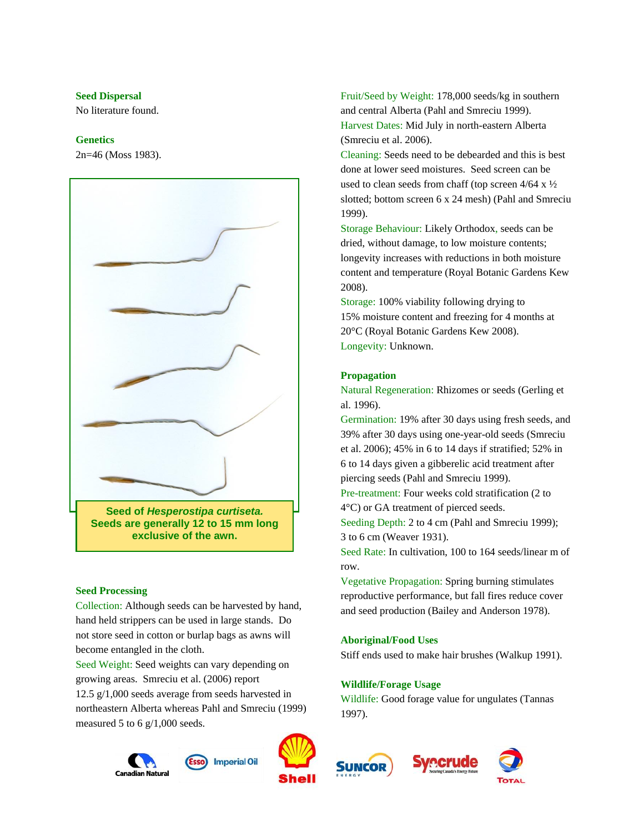### **Seed Dispersal**

No literature found.

### **Genetics**

2n=46 (Moss 1983).



#### **Seed Processing**

Collection: Although seeds can be harvested by hand, hand held strippers can be used in large stands. Do not store seed in cotton or burlap bags as awns will become entangled in the cloth.

Seed Weight: Seed weights can vary depending on growing areas. Smreciu et al. (2006) report 12.5 g/1,000 seeds average from seeds harvested in northeastern Alberta whereas Pahl and Smreciu (1999) measured 5 to 6 g/1,000 seeds.





**Imperial Oil** 

Fruit/Seed by Weight: 178,000 seeds/kg in southern and central Alberta (Pahl and Smreciu 1999). Harvest Dates: Mid July in north-eastern Alberta (Smreciu et al. 2006).

Cleaning: Seeds need to be debearded and this is best done at lower seed moistures. Seed screen can be used to clean seeds from chaff (top screen 4/64 x ½ slotted; bottom screen 6 x 24 mesh) (Pahl and Smreciu 1999).

Storage Behaviour: Likely Orthodox, seeds can be dried, without damage, to low moisture contents; longevity increases with reductions in both moisture content and temperature (Royal Botanic Gardens Kew 2008).

Storage: 100% viability following drying to 15% moisture content and freezing for 4 months at 20°C (Royal Botanic Gardens Kew 2008). Longevity: Unknown.

#### **Propagation**

Natural Regeneration: Rhizomes or seeds (Gerling et al. 1996).

Germination: 19% after 30 days using fresh seeds, and 39% after 30 days using one-year-old seeds (Smreciu et al. 2006); 45% in 6 to 14 days if stratified; 52% in 6 to 14 days given a gibberelic acid treatment after piercing seeds (Pahl and Smreciu 1999).

Pre-treatment: Four weeks cold stratification (2 to 4°C) or GA treatment of pierced seeds.

Seeding Depth: 2 to 4 cm (Pahl and Smreciu 1999); 3 to 6 cm (Weaver 1931).

Seed Rate: In cultivation, 100 to 164 seeds/linear m of row.

Vegetative Propagation: Spring burning stimulates reproductive performance, but fall fires reduce cover and seed production (Bailey and Anderson 1978).

## **Aboriginal/Food Uses**

Stiff ends used to make hair brushes (Walkup 1991).

#### **Wildlife/Forage Usage**

Wildlife: Good forage value for ungulates (Tannas 1997).





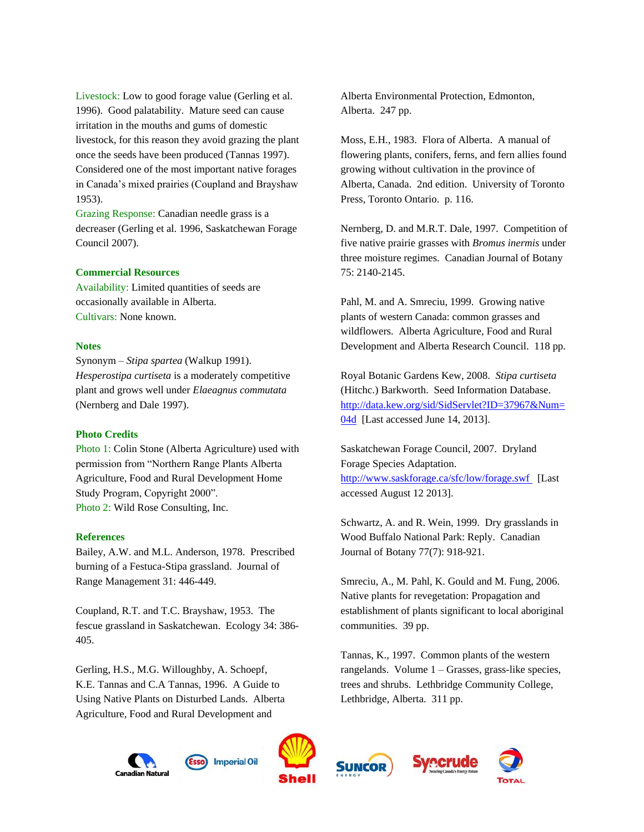Livestock: Low to good forage value (Gerling et al. 1996). Good palatability. Mature seed can cause irritation in the mouths and gums of domestic livestock, for this reason they avoid grazing the plant once the seeds have been produced (Tannas 1997). Considered one of the most important native forages in Canada's mixed prairies (Coupland and Brayshaw 1953).

Grazing Response: Canadian needle grass is a decreaser (Gerling et al. 1996, Saskatchewan Forage Council 2007).

### **Commercial Resources**

Availability: Limited quantities of seeds are occasionally available in Alberta. Cultivars: None known.

### **Notes**

Synonym – *Stipa spartea* (Walkup 1991). *Hesperostipa curtiseta* is a moderately competitive plant and grows well under *Elaeagnus commutata*  (Nernberg and Dale 1997).

### **Photo Credits**

Photo 1: Colin Stone (Alberta Agriculture) used with permission from "Northern Range Plants Alberta Agriculture, Food and Rural Development Home Study Program, Copyright 2000". Photo 2: Wild Rose Consulting, Inc.

#### **References**

Bailey, A.W. and M.L. Anderson, 1978. Prescribed burning of a Festuca-Stipa grassland. Journal of Range Management 31: 446-449.

Coupland, R.T. and T.C. Brayshaw, 1953. The fescue grassland in Saskatchewan. Ecology 34: 386- 405.

Gerling, H.S., M.G. Willoughby, A. Schoepf, K.E. Tannas and C.A Tannas, 1996. A Guide to Using Native Plants on Disturbed Lands. Alberta Agriculture, Food and Rural Development and

Alberta Environmental Protection, Edmonton, Alberta. 247 pp.

Moss, E.H., 1983. Flora of Alberta. A manual of flowering plants, conifers, ferns, and fern allies found growing without cultivation in the province of Alberta, Canada. 2nd edition. University of Toronto Press, Toronto Ontario. p. 116.

Nernberg, D. and M.R.T. Dale, 1997. Competition of five native prairie grasses with *Bromus inermis* under three moisture regimes. Canadian Journal of Botany 75: 2140-2145.

Pahl, M. and A. Smreciu, 1999. Growing native plants of western Canada: common grasses and wildflowers. Alberta Agriculture, Food and Rural Development and Alberta Research Council. 118 pp.

Royal Botanic Gardens Kew, 2008. *Stipa curtiseta* (Hitchc.) Barkworth. Seed Information Database. [http://data.kew.org/sid/SidServlet?ID=37967&Num=](http://data.kew.org/sid/SidServlet?ID=37967&Num=04d) [04d](http://data.kew.org/sid/SidServlet?ID=37967&Num=04d) [Last accessed June 14, 2013].

Saskatchewan Forage Council, 2007. Dryland Forage Species Adaptation. <http://www.saskforage.ca/sfc/low/forage.swf> [Last accessed August 12 2013].

Schwartz, A. and R. Wein, 1999. Dry grasslands in Wood Buffalo National Park: Reply. Canadian Journal of Botany 77(7): 918-921.

Smreciu, A., M. Pahl, K. Gould and M. Fung, 2006. Native plants for revegetation: Propagation and establishment of plants significant to local aboriginal communities. 39 pp.

Tannas, K., 1997. Common plants of the western rangelands. Volume 1 – Grasses, grass-like species, trees and shrubs. Lethbridge Community College, Lethbridge, Alberta. 311 pp.

recrude